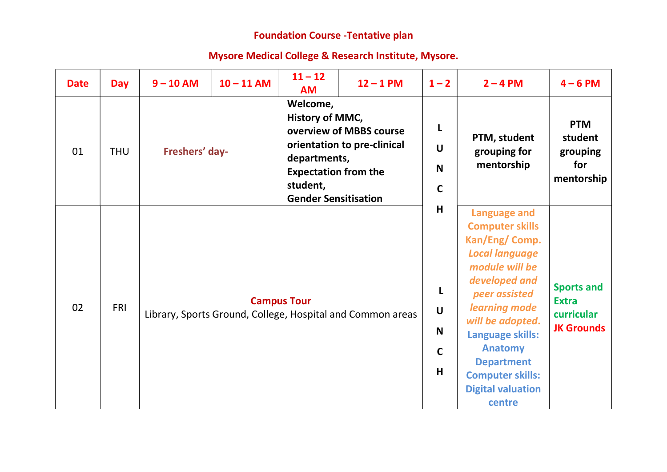## Foundation Course -Tentative plan

## Mysore Medical College & Research Institute, Mysore.

| <b>Date</b>      | <b>Day</b> | $9 - 10$ AM    | $10 - 11$ AM       | $11 - 12$<br><b>AM</b>                                                                 | $12 - 1$ PM                                                                               | $1 - 2$                                   | $2 - 4 PM$                                                                                                                                                                                                                                                                                                    | $4 - 6$ PM                                                           |
|------------------|------------|----------------|--------------------|----------------------------------------------------------------------------------------|-------------------------------------------------------------------------------------------|-------------------------------------------|---------------------------------------------------------------------------------------------------------------------------------------------------------------------------------------------------------------------------------------------------------------------------------------------------------------|----------------------------------------------------------------------|
| 01               | <b>THU</b> | Freshers' day- |                    | Welcome,<br>History of MMC,<br>departments,<br><b>Expectation from the</b><br>student, | overview of MBBS course<br>orientation to pre-clinical                                    | L<br>$\mathbf U$<br>N<br>$\mathbf C$<br>H | PTM, student<br>grouping for<br>mentorship                                                                                                                                                                                                                                                                    | <b>PTM</b><br>student<br>grouping<br>for<br>mentorship               |
| 02<br><b>FRI</b> |            |                | <b>Campus Tour</b> |                                                                                        | <b>Gender Sensitisation</b><br>Library, Sports Ground, College, Hospital and Common areas |                                           | <b>Language and</b><br><b>Computer skills</b><br>Kan/Eng/ Comp.<br><b>Local language</b><br>module will be<br>developed and<br>peer assisted<br>learning mode<br>will be adopted.<br>Language skills:<br><b>Anatomy</b><br><b>Department</b><br><b>Computer skills:</b><br><b>Digital valuation</b><br>centre | <b>Sports and</b><br><b>Extra</b><br>curricular<br><b>JK Grounds</b> |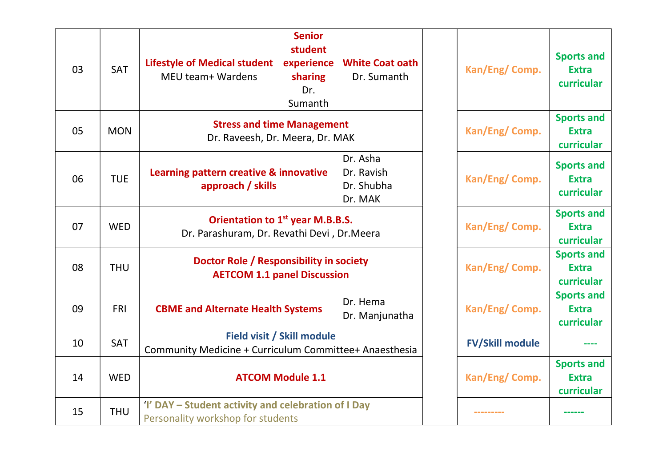| 03 | <b>SAT</b> | <b>Senior</b><br>student<br>experience<br><b>Lifestyle of Medical student</b><br>MEU team+ Wardens<br>sharing<br>Dr.<br>Sumanth | <b>White Coat oath</b><br>Dr. Sumanth           | Kan/Eng/ Comp.                                  | <b>Sports and</b><br><b>Extra</b><br>curricular |
|----|------------|---------------------------------------------------------------------------------------------------------------------------------|-------------------------------------------------|-------------------------------------------------|-------------------------------------------------|
| 05 | <b>MON</b> | <b>Stress and time Management</b><br>Dr. Raveesh, Dr. Meera, Dr. MAK                                                            | Kan/Eng/ Comp.                                  | <b>Sports and</b><br><b>Extra</b><br>curricular |                                                 |
| 06 | <b>TUE</b> | Learning pattern creative & innovative<br>approach / skills                                                                     | Dr. Asha<br>Dr. Ravish<br>Dr. Shubha<br>Dr. MAK | Kan/Eng/ Comp.                                  | <b>Sports and</b><br><b>Extra</b><br>curricular |
| 07 | <b>WED</b> | Orientation to 1 <sup>st</sup> year M.B.B.S.<br>Dr. Parashuram, Dr. Revathi Devi, Dr. Meera                                     |                                                 | Kan/Eng/ Comp.                                  | <b>Sports and</b><br><b>Extra</b><br>curricular |
| 08 | <b>THU</b> | Doctor Role / Responsibility in society<br><b>AETCOM 1.1 panel Discussion</b>                                                   |                                                 | Kan/Eng/ Comp.                                  | <b>Sports and</b><br><b>Extra</b><br>curricular |
| 09 | <b>FRI</b> | <b>CBME and Alternate Health Systems</b>                                                                                        | Dr. Hema<br>Dr. Manjunatha                      | Kan/Eng/ Comp.                                  | <b>Sports and</b><br><b>Extra</b><br>curricular |
| 10 | <b>SAT</b> | Field visit / Skill module<br>Community Medicine + Curriculum Committee+ Anaesthesia                                            |                                                 | <b>FV/Skill module</b>                          |                                                 |
| 14 | <b>WED</b> | <b>ATCOM Module 1.1</b>                                                                                                         |                                                 | Kan/Eng/ Comp.                                  | <b>Sports and</b><br><b>Extra</b><br>curricular |
| 15 | <b>THU</b> | 'I' DAY - Student activity and celebration of I Day<br>Personality workshop for students                                        |                                                 |                                                 |                                                 |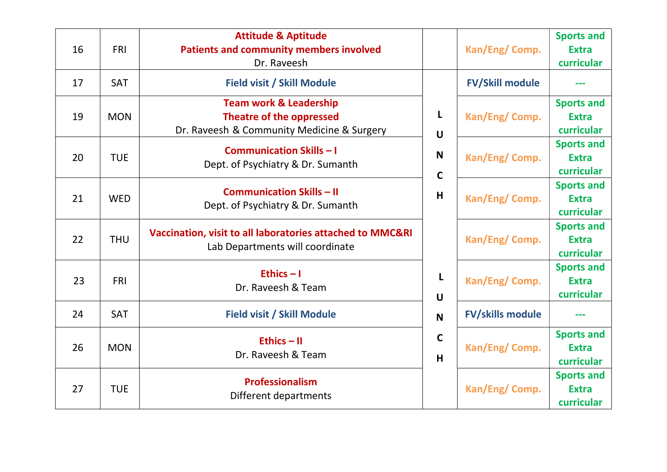| 16 | <b>FRI</b> | <b>Attitude &amp; Aptitude</b><br><b>Patients and community members involved</b><br>Dr. Raveesh                    |                                            | Kan/Eng/ Comp.          | <b>Sports and</b><br><b>Extra</b><br>curricular |
|----|------------|--------------------------------------------------------------------------------------------------------------------|--------------------------------------------|-------------------------|-------------------------------------------------|
| 17 | <b>SAT</b> | <b>Field visit / Skill Module</b>                                                                                  |                                            | <b>FV/Skill module</b>  |                                                 |
| 19 | <b>MON</b> | <b>Team work &amp; Leadership</b><br><b>Theatre of the oppressed</b><br>Dr. Raveesh & Community Medicine & Surgery | L<br>$\mathbf U$                           | Kan/Eng/ Comp.          | <b>Sports and</b><br><b>Extra</b><br>curricular |
| 20 | <b>TUE</b> | <b>Communication Skills - I</b><br>Dept. of Psychiatry & Dr. Sumanth                                               | N<br>$\mathsf{C}$<br>H<br>L<br>$\mathbf U$ | Kan/Eng/ Comp.          | <b>Sports and</b><br><b>Extra</b><br>curricular |
| 21 | <b>WED</b> | <b>Communication Skills - II</b><br>Dept. of Psychiatry & Dr. Sumanth                                              |                                            | Kan/Eng/ Comp.          | <b>Sports and</b><br><b>Extra</b><br>curricular |
| 22 | <b>THU</b> | Vaccination, visit to all laboratories attached to MMC&RI<br>Lab Departments will coordinate                       |                                            | Kan/Eng/Comp.           | <b>Sports and</b><br><b>Extra</b><br>curricular |
| 23 | <b>FRI</b> | Ethics $-1$<br>Dr. Raveesh & Team                                                                                  |                                            | Kan/Eng/ Comp.          | <b>Sports and</b><br><b>Extra</b><br>curricular |
| 24 | <b>SAT</b> | <b>Field visit / Skill Module</b>                                                                                  | $\mathbf N$                                | <b>FV/skills module</b> | ---                                             |
| 26 | <b>MON</b> | Ethics $-$ II<br>Dr. Raveesh & Team                                                                                | $\mathbf C$<br>H                           | Kan/Eng/ Comp.          | <b>Sports and</b><br><b>Extra</b><br>curricular |
| 27 | <b>TUE</b> | Professionalism<br>Different departments                                                                           |                                            | Kan/Eng/ Comp.          | <b>Sports and</b><br><b>Extra</b><br>curricular |